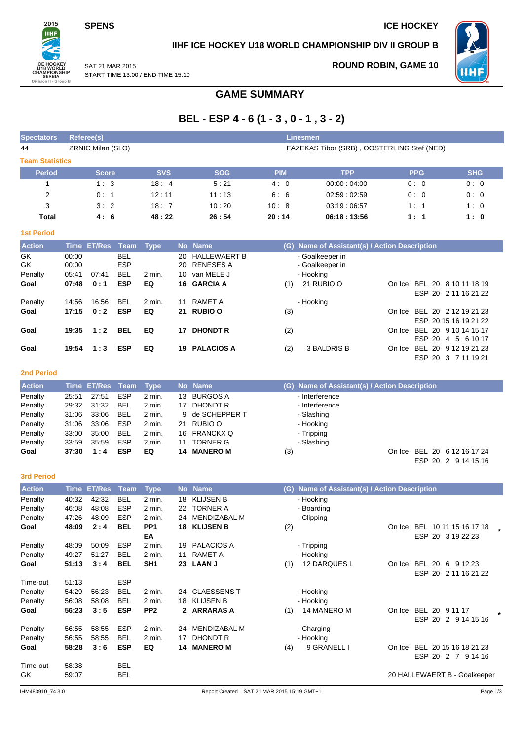SAT 21 MAR 2015

**SPENS** ICE HOCKEY

**ROUND ROBIN, GAME 10**



**IIHF ICE HOCKEY U18 WORLD CHAMPIONSHIP DIV II GROUP B**



START TIME 13:00 / END TIME 15:10

## **GAME SUMMARY**

# **BEL - ESP 4 - 6 (1 - 3 , 0 - 1 , 3 - 2)**

| <b>Spectators</b> | Referee(s)<br><b>Linesmen</b> |                                            |            |            |             |            |            |  |  |  |  |  |  |  |  |
|-------------------|-------------------------------|--------------------------------------------|------------|------------|-------------|------------|------------|--|--|--|--|--|--|--|--|
| 44                | ZRNIC Milan (SLO)             | FAZEKAS Tibor (SRB), OOSTERLING Stef (NED) |            |            |             |            |            |  |  |  |  |  |  |  |  |
|                   | <b>Team Statistics</b>        |                                            |            |            |             |            |            |  |  |  |  |  |  |  |  |
| <b>Period</b>     | <b>Score</b>                  | <b>SVS</b>                                 | <b>SOG</b> | <b>PIM</b> | <b>TPP</b>  | <b>PPG</b> | <b>SHG</b> |  |  |  |  |  |  |  |  |
|                   | 1:3                           | 18:4                                       | 5:21       | 4:0        | 00:00:04:00 | 0:0        | 0:0        |  |  |  |  |  |  |  |  |
| 2                 | 0:1                           | 12:11                                      | 11:13      | 6:6        | 02:59:02:59 | 0:0        | 0:0        |  |  |  |  |  |  |  |  |
| 3                 | 3:2                           | 18:7                                       | 10:20      | 10:8       | 03:19:06:57 | 1:1        | 1:0        |  |  |  |  |  |  |  |  |
| <b>Total</b>      | 4:6                           | 48:22                                      | 26:54      | 20:14      | 06:18:13:56 | 1:1        | 1:0        |  |  |  |  |  |  |  |  |

| ___ | $\sim$ | $\sim$ | - 1 |
|-----|--------|--------|-----|

| <b>Action</b> |       | Time ET/Res Team Type |            |          |    | No Name           |     | (G) Name of Assistant(s) / Action Description |        |                       |
|---------------|-------|-----------------------|------------|----------|----|-------------------|-----|-----------------------------------------------|--------|-----------------------|
| GK            | 00:00 |                       | <b>BEL</b> |          |    | 20 HALLEWAERT B   |     | - Goalkeeper in                               |        |                       |
| GK            | 00:00 |                       | <b>ESP</b> |          |    | 20 RENESES A      |     | - Goalkeeper in                               |        |                       |
| Penalty       | 05:41 | 07:41                 | <b>BEL</b> | 2 min.   | 10 | van MELE J        |     | - Hooking                                     |        |                       |
| Goal          | 07:48 | 0:1                   | <b>ESP</b> | EQ       |    | 16 GARCIA A       | (1) | 21 RUBIO O                                    | On Ice | BEL 20 8 10 11 18 19  |
|               |       |                       |            |          |    |                   |     |                                               |        | ESP 20 2 11 16 21 22  |
| Penalty       | 14:56 | 16:56                 | <b>BEL</b> | $2$ min. | 11 | RAMET A           |     | - Hooking                                     |        |                       |
| Goal          | 17:15 | 0:2                   | <b>ESP</b> | EQ       | 21 | <b>RUBIO O</b>    | (3) |                                               | On Ice | BEL 20 2 12 19 21 23  |
|               |       |                       |            |          |    |                   |     |                                               |        | ESP 20 15 16 19 21 22 |
| Goal          | 19:35 | 1:2                   | <b>BEL</b> | EQ       | 17 | <b>DHONDT R</b>   | (2) |                                               | On Ice | BEL 20 9 10 14 15 17  |
|               |       |                       |            |          |    |                   |     |                                               |        | ESP 20<br>4 5 6 10 17 |
| Goal          | 19:54 | 1:3                   | <b>ESP</b> | EQ       | 19 | <b>PALACIOS A</b> | (2) | 3 BALDRIS B                                   | On Ice | BEL 20 9 12 19 21 23  |
|               |       |                       |            |          |    |                   |     |                                               |        | ESP 20 3 7 11 19 21   |

#### **2nd Period**

| <b>Action</b> |       | Time ET/Res Team Type |            |          |    | No Name         | (G) Name of Assistant(s) / Action Description |
|---------------|-------|-----------------------|------------|----------|----|-----------------|-----------------------------------------------|
| Penalty       | 25:51 | 27:51                 | ESP        | 2 min.   | 13 | BURGOS A        | - Interference                                |
| Penalty       | 29:32 | 31:32                 | BEL        | 2 min.   | 17 | DHONDT R        | - Interference                                |
| Penalty       | 31:06 | 33.06                 | BEL        | 2 min.   |    | 9 de SCHEPPER T | - Slashing                                    |
| Penalty       | 31:06 | 33:06                 | <b>ESP</b> | $2$ min. |    | 21 RUBIO O      | - Hooking                                     |
| Penalty       | 33:00 | 35:00                 | BEL        | 2 min.   |    | 16 FRANCKXQ     | - Tripping                                    |
| Penalty       | 33:59 | 35:59                 | <b>ESP</b> | 2 min.   | 11 | <b>TORNER G</b> | - Slashing                                    |
| Goal          | 37:30 | 1:4                   | <b>ESP</b> | EQ       | 14 | <b>MANERO M</b> | On Ice BEL 20 6 12 16 17 24<br>(3)            |

### **3rd Period**

| sra Perioa    |             |               |             |                   |    |                     |     |                                           |        |                              |        |
|---------------|-------------|---------------|-------------|-------------------|----|---------------------|-----|-------------------------------------------|--------|------------------------------|--------|
| <b>Action</b> | <b>Time</b> | <b>ET/Res</b> | <b>Team</b> | <b>Type</b>       |    | No Name             | (G) | Name of Assistant(s) / Action Description |        |                              |        |
| Penalty       | 40:32       | 42:32         | <b>BEL</b>  | 2 min.            | 18 | <b>KLIJSEN B</b>    |     | - Hooking                                 |        |                              |        |
| Penalty       | 46:08       | 48:08         | <b>ESP</b>  | $2$ min.          | 22 | <b>TORNER A</b>     |     | - Boarding                                |        |                              |        |
| Penalty       | 47:26       | 48:09         | <b>ESP</b>  | 2 min.            | 24 | <b>MENDIZABAL M</b> |     | - Clipping                                |        |                              |        |
| Goal          | 48:09       | 2:4           | <b>BEL</b>  | PP <sub>1</sub>   | 18 | <b>KLIJSEN B</b>    | (2) |                                           | On Ice | BEL 10 11 15 16 17 18        |        |
|               |             |               |             | EA                |    |                     |     |                                           |        | ESP 20 3 19 22 23            |        |
| Penalty       | 48:09       | 50:09         | <b>ESP</b>  | 2 min.            | 19 | <b>PALACIOS A</b>   |     | - Tripping                                |        |                              |        |
| Penalty       | 49:27       | 51:27         | <b>BEL</b>  | 2 min.            | 11 | <b>RAMET A</b>      |     | - Hooking                                 |        |                              |        |
| Goal          | 51:13       | 3:4           | <b>BEL</b>  | SH <sub>1</sub>   | 23 | <b>LAAN J</b>       | (1) | 12 DARQUES L                              | On Ice | BEL 20<br>6<br>9 12 23       |        |
|               |             |               |             |                   |    |                     |     |                                           |        | ESP 20 2 11 16 21 22         |        |
| Time-out      | 51:13       |               | <b>ESP</b>  |                   |    |                     |     |                                           |        |                              |        |
| Penalty       | 54:29       | 56:23         | BEL         | 2 min.            | 24 | <b>CLAESSENS T</b>  |     | - Hooking                                 |        |                              |        |
| Penalty       | 56:08       | 58:08         | <b>BEL</b>  | $2 \text{ min}$ . | 18 | <b>KLIJSEN B</b>    |     | - Hooking                                 |        |                              |        |
| Goal          | 56:23       | 3:5           | <b>ESP</b>  | PP <sub>2</sub>   |    | <b>ARRARAS A</b>    | (1) | 14 MANERO M                               | On Ice | BEL 20 9 11 17               | $\ast$ |
|               |             |               |             |                   |    |                     |     |                                           |        | ESP 20 2 9 14 15 16          |        |
| Penalty       | 56:55       | 58:55         | <b>ESP</b>  | $2$ min.          | 24 | <b>MENDIZABAL M</b> |     | - Charging                                |        |                              |        |
| Penalty       | 56:55       | 58:55         | <b>BEL</b>  | $2$ min.          | 17 | <b>DHONDT R</b>     |     | - Hooking                                 |        |                              |        |
| Goal          | 58:28       | 3:6           | <b>ESP</b>  | EQ                | 14 | <b>MANERO M</b>     | (4) | 9 GRANELL I                               | On Ice | BEL 20 15 16 18 21 23        |        |
|               |             |               |             |                   |    |                     |     |                                           |        | ESP 20<br>2 7<br>9 14 16     |        |
| Time-out      | 58:38       |               | BEL         |                   |    |                     |     |                                           |        |                              |        |
| GK            | 59:07       |               | BEL         |                   |    |                     |     |                                           |        | 20 HALLEWAERT B - Goalkeeper |        |
|               |             |               |             |                   |    |                     |     |                                           |        |                              |        |

ESP 20 2 9 14 15 16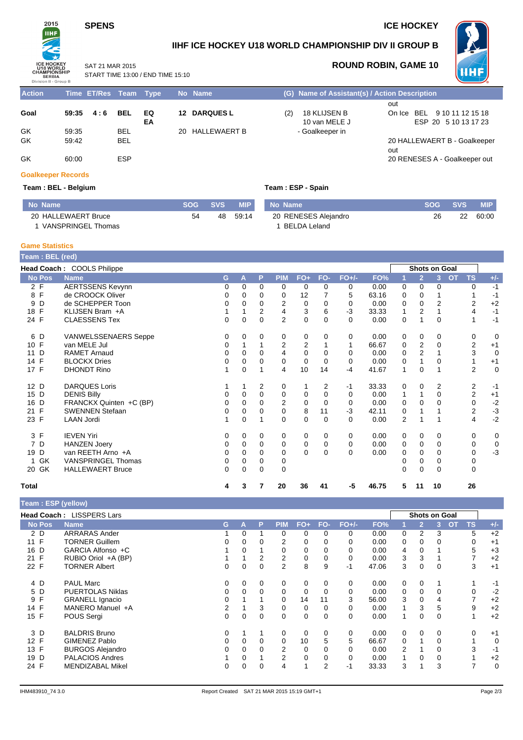## **SPENS** ICE HOCKEY



**IIHF ICE HOCKEY U18 WORLD CHAMPIONSHIP DIV II GROUP B**



SAT 21 MAR 2015 START TIME 13:00 / END TIME 15:10

## **ROUND ROBIN, GAME 10**

| <b>Action</b> | Time ET/Res Team Type |            |    | No Name             |     | (G) Name of Assistant(s) / Action Description |                               |
|---------------|-----------------------|------------|----|---------------------|-----|-----------------------------------------------|-------------------------------|
|               |                       |            |    |                     |     |                                               | out                           |
| Goal          | 59:35<br>4:6          | <b>BEL</b> | EQ | <b>12 DARQUES L</b> | (2) | 18 KLIJSEN B                                  | On Ice BEL 9 10 11 12 15 18   |
|               |                       |            | EA |                     |     | 10 van MELE J                                 | ESP 20 5 10 13 17 23          |
| GK            | 59.35                 | <b>BEL</b> |    | 20 HALLEWAERT B     |     | - Goalkeeper in                               |                               |
| GK            | 59:42                 | <b>BEL</b> |    |                     |     |                                               | 20 HALLEWAERT B - Goalkeeper  |
|               |                       |            |    |                     |     |                                               | out                           |
| GK            | 60:00                 | <b>ESP</b> |    |                     |     |                                               | 20 RENESES A - Goalkeeper out |

### **Goalkeeper Records**

### **Team : BEL - Belgium Team : ESP - Spain**

| No Name             |    | SOG SVS | <b>MIP</b> | No Name              | SOG - | <b>SVS</b> | <b>MIP</b> |
|---------------------|----|---------|------------|----------------------|-------|------------|------------|
| 20 HALLEWAERT Bruce | 54 |         | 48 59:14   | 20 RENESES Alejandro | 26    | つつ         | 60:00      |
| VANSPRINGEL Thomas  |    |         |            | BELDA Leland         |       |            |            |

#### **Game Statistics**

I

| Team: BEL (red)    |                             |   |          |          |                |             |          |          |       |                |                |                      |                        |             |
|--------------------|-----------------------------|---|----------|----------|----------------|-------------|----------|----------|-------|----------------|----------------|----------------------|------------------------|-------------|
|                    | Head Coach: COOLS Philippe  |   |          |          |                |             |          |          |       |                |                | <b>Shots on Goal</b> |                        |             |
| <b>No Pos</b>      | <b>Name</b>                 | G | A        | P        | <b>PIM</b>     | $FO+$       | FO-      | $FO+/-$  | FO%   |                | $\overline{2}$ | $\overline{3}$       | <b>OT</b><br><b>TS</b> | $+/-$       |
| 2 F                | <b>AERTSSENS Kevynn</b>     | 0 | $\Omega$ | 0        | 0              | 0           | 0        | 0        | 0.00  | 0              | 0              | 0                    | 0                      | $-1$        |
| 8 F                | de CROOCK Oliver            | 0 | $\Omega$ | $\Omega$ | 0              | 12          |          | 5        | 63.16 | 0              | 0              |                      |                        | $-1$        |
| D<br>9             | de SCHEPPER Toon            | 0 | $\Omega$ | $\Omega$ | 2              | 0           | 0        | 0        | 0.00  | 0              | 0              | $\overline{2}$       | 2                      | $+2$        |
| F<br>18            | KLIJSEN Bram +A             |   |          | 2        | 4              | 3           | 6        | $-3$     | 33.33 | 1              | 2              |                      | 4                      | $-1$        |
| 24 F               | <b>CLAESSENS Tex</b>        | 0 | $\Omega$ | $\Omega$ | $\overline{2}$ | $\mathbf 0$ | $\Omega$ | $\Omega$ | 0.00  | 0              |                | 0                    |                        | $-1$        |
| 6 D                | <b>VANWELSSENAERS Seppe</b> | 0 | $\Omega$ | 0        | 0              | 0           | 0        | $\Omega$ | 0.00  | 0              | $\mathbf 0$    | 0                    | 0                      | 0           |
| 10 F               | van MELE Jul                | 0 |          |          | 2              | 2           |          |          | 66.67 | 0              | $\overline{2}$ | 0                    | 2                      | $+1$        |
| D<br>11            | <b>RAMET Arnaud</b>         | 0 | $\Omega$ | $\Omega$ | 4              | $\mathbf 0$ | 0        | $\Omega$ | 0.00  | 0              | $\overline{2}$ |                      | 3                      | $\mathbf 0$ |
| F<br>14            | <b>BLOCKX Dries</b>         | 0 | $\Omega$ | 0        | $\Omega$       | $\mathbf 0$ | $\Omega$ | $\Omega$ | 0.00  | 0              |                | 0                    |                        | $+1$        |
| 17 F               | <b>DHONDT Rino</b>          |   | $\Omega$ |          | 4              | 10          | 14       | $-4$     | 41.67 | 1              | $\Omega$       |                      | $\overline{2}$         | $\mathbf 0$ |
| 12 D               | <b>DARQUES Loris</b>        |   |          | 2        | 0              |             | 2        | $-1$     | 33.33 | 0              | $\mathbf 0$    | 2                    | 2                      | $-1$        |
| 15 D               | <b>DENIS Billy</b>          | 0 | 0        | 0        | 0              | 0           | 0        | 0        | 0.00  | 1              |                | 0                    | $\overline{2}$         | $+1$        |
| D<br>16            | FRANCKX Quinten +C (BP)     | 0 | $\Omega$ | $\Omega$ | 2              | 0           | $\Omega$ | 0        | 0.00  | 0              | $\Omega$       | 0                    | 0                      | $-2$        |
| $\mathsf{F}$<br>21 | <b>SWENNEN Stefaan</b>      | 0 | $\Omega$ | 0        | 0              | 8           | 11       | $-3$     | 42.11 | 0              |                |                      | $\overline{2}$         | $-3$        |
| 23 F               | <b>LAAN Jordi</b>           | 1 | $\Omega$ |          | $\Omega$       | 0           | $\Omega$ | $\Omega$ | 0.00  | $\overline{2}$ |                | 1                    | 4                      | $-2$        |
| 3 F                | <b>IEVEN Yiri</b>           | 0 | 0        | 0        | 0              | 0           | 0        | 0        | 0.00  | 0              | 0              | 0                    | 0                      | 0           |
| 7 D                | <b>HANZEN Joery</b>         | 0 | $\Omega$ | $\Omega$ | 0              | $\mathbf 0$ | 0        | $\Omega$ | 0.00  | 0              | 0              | 0                    | 0                      | $\mathbf 0$ |
| D<br>19            | van REETH Arno +A           | 0 | 0        | 0        | 0              | $\Omega$    | $\Omega$ | $\Omega$ | 0.00  | 0              | 0              | 0                    | 0                      | $-3$        |
| GK                 | <b>VANSPRINGEL Thomas</b>   | 0 | $\Omega$ | 0        | 0              |             |          |          |       | 0              | 0              | 0                    | 0                      |             |
| 20 GK              | <b>HALLEWAERT Bruce</b>     | 0 | $\Omega$ | $\Omega$ | $\Omega$       |             |          |          |       | 0              | $\Omega$       | 0                    | 0                      |             |
| <b>Total</b>       |                             | 4 | 3        | 7        | 20             | 36          | 41       | -5       | 46.75 | 5              | 11             | 10                   | 26                     |             |

| Team: ESP (yellow) |                           |    |          |          |                |                         |          |          |       |          |                |                      |             |             |
|--------------------|---------------------------|----|----------|----------|----------------|-------------------------|----------|----------|-------|----------|----------------|----------------------|-------------|-------------|
|                    | Head Coach: LISSPERS Lars |    |          |          |                |                         |          |          |       |          |                | <b>Shots on Goal</b> |             |             |
| <b>No Pos</b>      | <b>Name</b>               | G. | Α        | P        | <b>PIM</b>     | $FO+$                   | FO-      | $FO+/-$  | FO%   |          | $\overline{2}$ | OT<br>3              | <b>TS</b>   | $+/-$       |
| 2 D                | <b>ARRARAS Ander</b>      |    | 0        |          | 0              | 0                       | 0        | $\Omega$ | 0.00  | 0        | 2              | 3                    | 5           | $+2$        |
| 11 F               | <b>TORNER Guillem</b>     | 0  | 0        | $\Omega$ | 2              | 0                       | 0        | 0        | 0.00  | 0        | 0              | 0                    | 0           | $+1$        |
| 16 D               | GARCIA Alfonso +C         |    | $\Omega$ |          | 0              | 0                       | 0        | 0        | 0.00  | 4        | 0              |                      | 5           | $+3$        |
| 21 F               | RUBIO Oriol +A (BP)       |    |          | 2        | 2              | 0                       | 0        | $\Omega$ | 0.00  | 3        | 3              |                      | 7           | $+2$        |
| 22 F               | <b>TORNER Albert</b>      | 0  | $\Omega$ | 0        | $\overline{2}$ | 8                       | 9        | -1       | 47.06 | 3        | $\Omega$       | $\Omega$             | 3           | $+1$        |
| 4 D                | <b>PAUL Marc</b>          | 0  | 0        | 0        | 0              | 0                       | 0        | 0        | 0.00  | 0        | 0              |                      | 1           | $-1$        |
| 5 D                | <b>PUERTOLAS Niklas</b>   | 0  | 0        | 0        | 0              | 0                       | 0        | 0        | 0.00  | 0        | 0              | 0                    | $\mathbf 0$ | $-2$        |
| F<br>9             | <b>GRANELL Ignacio</b>    | 0  |          |          | 0              | 14                      | 11       | 3        | 56.00 | 3        | 0              | 4                    | 7           | $+2$        |
| 14 F               | MANERO Manuel +A          | 2  |          | 3        | 0              | 0                       | 0        | 0        | 0.00  | 1        | 3              | 5                    | 9           | $+2$        |
| 15 F               | POUS Sergi                | 0  | $\Omega$ | 0        | 0              | 0                       | 0        | $\Omega$ | 0.00  | 1        | 0              | $\Omega$             |             | $+2$        |
| 3 D                | <b>BALDRIS Bruno</b>      | 0  |          |          | 0              | 0                       | $\Omega$ | 0        | 0.00  | 0        | $\Omega$       | $\Omega$             | 0           | $+1$        |
| 12 F               | <b>GIMENEZ Pablo</b>      | 0  | $\Omega$ | 0        | 0              | 10                      | 5        | 5        | 66.67 | $\Omega$ |                | 0                    |             | 0           |
| 13 F               | <b>BURGOS Alejandro</b>   | 0  | 0        | $\Omega$ | 2              | 0                       | 0        | $\Omega$ | 0.00  | 2        |                | 0                    | 3           | -1          |
| 19 D               | <b>PALACIOS Andres</b>    |    | 0        |          | $\overline{2}$ | 0                       | 0        | 0        | 0.00  | 1        | 0              | 0                    |             | $+2$        |
| 24 F               | <b>MENDIZABAL Mikel</b>   | 0  | 0        | $\Omega$ | 4              | $\overline{\mathbf{A}}$ | 2        | -1       | 33.33 | 3        |                | 3                    | 7           | $\mathbf 0$ |